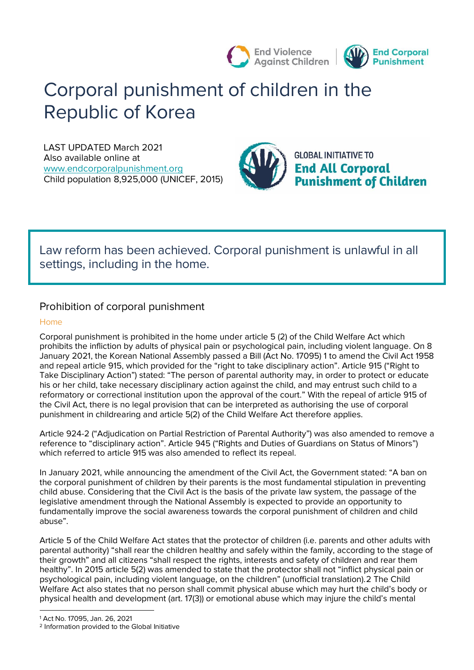

# **Corporal punishment of children in the Republic of Korea**

LAST UPDATED March 2021 Also available online at [www.endcorporalpunishment.org](about:blank) **Child population** 8,925,000 (UNICEF, 2015)



**GLOBAL INITIATIVE TO End All Corporal<br>Punishment of Children** 

## **Law reform has been achieved. Corporal punishment is unlawful in all settings, including in the home.**

## **Prohibition of corporal punishment**

## **Home**

Corporal punishment is prohibited in the home under article 5 (2) of the Child Welfare Act which prohibits the infliction by adults of physical pain or psychological pain, including violent language. On 8 January 2021, the Korean National Assembly passed a Bill (Act No. 17095) 1 to amend the Civil Act 1958 and repeal article 915, which provided for the "right to take disciplinary action". Article 915 ("Right to Take Disciplinary Action") stated: "The person of parental authority may, in order to protect or educate his or her child, take necessary disciplinary action against the child, and may entrust such child to a reformatory or correctional institution upon the approval of the court." With the repeal of article 915 of the Civil Act, there is no legal provision that can be interpreted as authorising the use of corporal punishment in childrearing and article 5(2) of the Child Welfare Act therefore applies.

Article 924-2 ("Adjudication on Partial Restriction of Parental Authority") was also amended to remove a reference to "disciplinary action". Article 945 ("Rights and Duties of Guardians on Status of Minors") which referred to article 915 was also amended to reflect its repeal.

In January 2021, while announcing the amendment of the Civil Act, the Government stated: "A ban on the corporal punishment of children by their parents is the most fundamental stipulation in preventing child abuse. Considering that the Civil Act is the basis of the private law system, the passage of the legislative amendment through the National Assembly is expected to provide an opportunity to fundamentally improve the social awareness towards the corporal punishment of children and child abuse".

Article 5 of the Child Welfare Act states that the protector of children (i.e. parents and other adults with parental authority) "shall rear the children healthy and safely within the family, according to the stage of their growth" and all citizens "shall respect the rights, interests and safety of children and rear them healthy". In 2015 article 5(2) was amended to state that the protector shall not "inflict physical pain or psychological pain, including violent language, on the children" (unofficial translation).2 The Child Welfare Act also states that no person shall commit physical abuse which may hurt the child's body or physical health and development (art. 17(3)) or emotional abuse which may injure the child's mental

 $\overline{a}$ 

<sup>1</sup> Act No. 17095, Jan. 26, 2021

<sup>2</sup> Information provided to the Global Initiative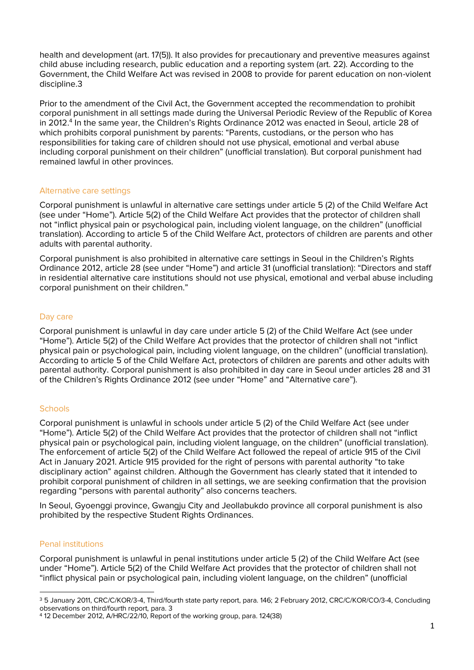health and development (art. 17(5)). It also provides for precautionary and preventive measures against child abuse including research, public education and a reporting system (art. 22). According to the Government, the Child Welfare Act was revised in 2008 to provide for parent education on non-violent discipline.3

Prior to the amendment of the Civil Act, the Government accepted the recommendation to prohibit corporal punishment in all settings made during the Universal Periodic Review of the Republic of Korea in 2012.<sup>4</sup> In the same year, the Children's Rights Ordinance 2012 was enacted in Seoul, article 28 of which prohibits corporal punishment by parents: "Parents, custodians, or the person who has responsibilities for taking care of children should not use physical, emotional and verbal abuse including corporal punishment on their children" (unofficial translation). But corporal punishment had remained lawful in other provinces.

### **Alternative care settings**

Corporal punishment is unlawful in alternative care settings under article 5 (2) of the Child Welfare Act (see under "Home"). Article 5(2) of the Child Welfare Act provides that the protector of children shall not "inflict physical pain or psychological pain, including violent language, on the children" (unofficial translation). According to article 5 of the Child Welfare Act, protectors of children are parents and other adults with parental authority.

Corporal punishment is also prohibited in alternative care settings in Seoul in the Children's Rights Ordinance 2012, article 28 (see under "Home") and article 31 (unofficial translation): "Directors and staff in residential alternative care institutions should not use physical, emotional and verbal abuse including corporal punishment on their children."

### **Day care**

Corporal punishment is unlawful in day care under article 5 (2) of the Child Welfare Act (see under "Home"). Article 5(2) of the Child Welfare Act provides that the protector of children shall not "inflict physical pain or psychological pain, including violent language, on the children" (unofficial translation). According to article 5 of the Child Welfare Act, protectors of children are parents and other adults with parental authority. Corporal punishment is also prohibited in day care in Seoul under articles 28 and 31 of the Children's Rights Ordinance 2012 (see under "Home" and "Alternative care").

### **Schools**

Corporal punishment is unlawful in schools under article 5 (2) of the Child Welfare Act (see under "Home"). Article 5(2) of the Child Welfare Act provides that the protector of children shall not "inflict physical pain or psychological pain, including violent language, on the children" (unofficial translation). The enforcement of article 5(2) of the Child Welfare Act followed the repeal of article 915 of the Civil Act in January 2021. Article 915 provided for the right of persons with parental authority "to take disciplinary action" against children. Although the Government has clearly stated that it intended to prohibit corporal punishment of children in all settings, we are seeking confirmation that the provision regarding "persons with parental authority" also concerns teachers.

In Seoul, Gyoenggi province, Gwangju City and Jeollabukdo province all corporal punishment is also prohibited by the respective Student Rights Ordinances.

## **Penal institutions**

Corporal punishment is unlawful in penal institutions under article 5 (2) of the Child Welfare Act (see under "Home"). Article 5(2) of the Child Welfare Act provides that the protector of children shall not "inflict physical pain or psychological pain, including violent language, on the children" (unofficial

 $\overline{a}$ <sup>3</sup> 5 January 2011, CRC/C/KOR/3-4, Third/fourth state party report, para. 146; 2 February 2012, CRC/C/KOR/CO/3-4, Concluding observations on third/fourth report, para. 3

<sup>4</sup> 12 December 2012, A/HRC/22/10, Report of the working group, para. 124(38)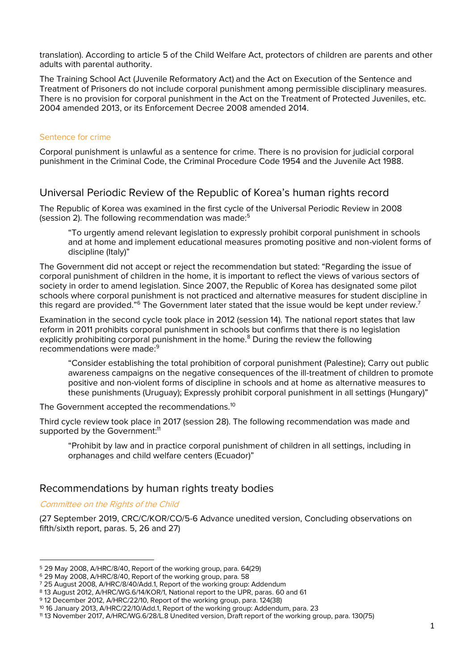translation). According to article 5 of the Child Welfare Act, protectors of children are parents and other adults with parental authority.

The Training School Act (Juvenile Reformatory Act) and the Act on Execution of the Sentence and Treatment of Prisoners do not include corporal punishment among permissible disciplinary measures. There is no provision for corporal punishment in the Act on the Treatment of Protected Juveniles, etc. 2004 amended 2013, or its Enforcement Decree 2008 amended 2014.

## **Sentence for crime**

Corporal punishment is unlawful as a sentence for crime. There is no provision for judicial corporal punishment in the Criminal Code, the Criminal Procedure Code 1954 and the Juvenile Act 1988.

## **Universal Periodic Review of the Republic of Korea's human rights record**

The Republic of Korea was examined in the first cycle of the Universal Periodic Review in 2008 (session 2). The following recommendation was made:<sup>5</sup>

"To urgently amend relevant legislation to expressly prohibit corporal punishment in schools and at home and implement educational measures promoting positive and non-violent forms of discipline (Italy)"

The Government did not accept or reject the recommendation but stated: "Regarding the issue of corporal punishment of children in the home, it is important to reflect the views of various sectors of society in order to amend legislation. Since 2007, the Republic of Korea has designated some pilot schools where corporal punishment is not practiced and alternative measures for student discipline in this regard are provided." $^6$  The Government later stated that the issue would be kept under review. $^7$ 

Examination in the second cycle took place in 2012 (session 14). The national report states that law reform in 2011 prohibits corporal punishment in schools but confirms that there is no legislation explicitly prohibiting corporal punishment in the home.<sup>8</sup> During the review the following recommendations were made:<sup>9</sup>

"Consider establishing the total prohibition of corporal punishment (Palestine); Carry out public awareness campaigns on the negative consequences of the ill-treatment of children to promote positive and non-violent forms of discipline in schools and at home as alternative measures to these punishments (Uruguay); Expressly prohibit corporal punishment in all settings (Hungary)"

The Government accepted the recommendations.<sup>10</sup>

Third cycle review took place in 2017 (session 28). The following recommendation was made and supported by the Government:<sup>11</sup>

"Prohibit by law and in practice corporal punishment of children in all settings, including in orphanages and child welfare centers (Ecuador)"

## **Recommendations by human rights treaty bodies**

## **Committee on the Rights of the Child**

 $\overline{a}$ 

(27 September 2019, CRC/C/KOR/CO/5-6 Advance unedited version, Concluding observations on fifth/sixth report, paras. 5, 26 and 27)

<sup>5</sup> 29 May 2008, A/HRC/8/40, Report of the working group, para. 64(29)

<sup>6</sup> 29 May 2008, A/HRC/8/40, Report of the working group, para. 58

<sup>7</sup> 25 August 2008, A/HRC/8/40/Add.1, Report of the working group: Addendum

<sup>8</sup> 13 August 2012, A/HRC/WG.6/14/KOR/1, National report to the UPR, paras. 60 and 61

<sup>9</sup> 12 December 2012, A/HRC/22/10, Report of the working group, para. 124(38)

<sup>10</sup> 16 January 2013, A/HRC/22/10/Add.1, Report of the working group: Addendum, para. 23

<sup>11</sup> 13 November 2017, A/HRC/WG.6/28/L.8 Unedited version, Draft report of the working group, para. 130(75)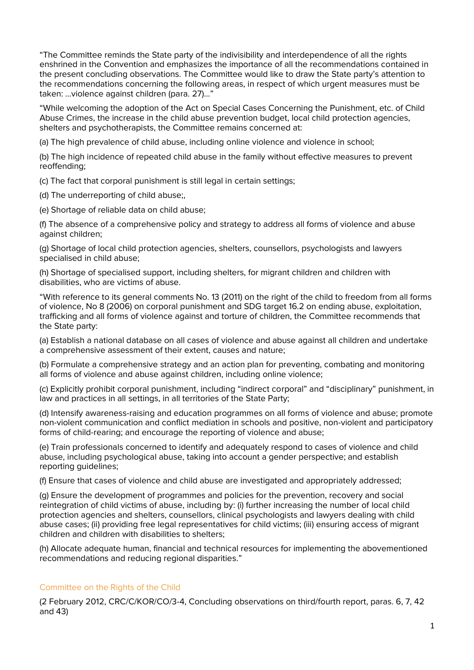"The Committee reminds the State party of the indivisibility and interdependence of all the rights enshrined in the Convention and emphasizes the importance of all the recommendations contained in the present concluding observations. The Committee would like to draw the State party's attention to the recommendations concerning the following areas, in respect of which urgent measures must be taken: …violence against children (para. 27)…"

"While welcoming the adoption of the Act on Special Cases Concerning the Punishment, etc. of Child Abuse Crimes, the increase in the child abuse prevention budget, local child protection agencies, shelters and psychotherapists, the Committee remains concerned at:

(a) The high prevalence of child abuse, including online violence and violence in school;

(b) The high incidence of repeated child abuse in the family without effective measures to prevent reoffending;

(c) The fact that corporal punishment is still legal in certain settings;

(d) The underreporting of child abuse;,

(e) Shortage of reliable data on child abuse;

(f) The absence of a comprehensive policy and strategy to address all forms of violence and abuse against children;

(g) Shortage of local child protection agencies, shelters, counsellors, psychologists and lawyers specialised in child abuse;

(h) Shortage of specialised support, including shelters, for migrant children and children with disabilities, who are victims of abuse.

"With reference to its general comments No. 13 (2011) on the right of the child to freedom from all forms of violence, No 8 (2006) on corporal punishment and SDG target 16.2 on ending abuse, exploitation, trafficking and all forms of violence against and torture of children, the Committee recommends that the State party:

(a) Establish a national database on all cases of violence and abuse against all children and undertake a comprehensive assessment of their extent, causes and nature;

(b) Formulate a comprehensive strategy and an action plan for preventing, combating and monitoring all forms of violence and abuse against children, including online violence;

(c) Explicitly prohibit corporal punishment, including "indirect corporal" and "disciplinary" punishment, in law and practices in all settings, in all territories of the State Party;

(d) Intensify awareness-raising and education programmes on all forms of violence and abuse; promote non-violent communication and conflict mediation in schools and positive, non-violent and participatory forms of child-rearing; and encourage the reporting of violence and abuse;

(e) Train professionals concerned to identify and adequately respond to cases of violence and child abuse, including psychological abuse, taking into account a gender perspective; and establish reporting guidelines;

(f) Ensure that cases of violence and child abuse are investigated and appropriately addressed;

(g) Ensure the development of programmes and policies for the prevention, recovery and social reintegration of child victims of abuse, including by: (i) further increasing the number of local child protection agencies and shelters, counsellors, clinical psychologists and lawyers dealing with child abuse cases; (ii) providing free legal representatives for child victims; (iii) ensuring access of migrant children and children with disabilities to shelters;

(h) Allocate adequate human, financial and technical resources for implementing the abovementioned recommendations and reducing regional disparities."

## *Committee on the Rights of the Child*

(2 February 2012, CRC/C/KOR/CO/3-4, Concluding observations on third/fourth report, paras. 6, 7, 42 and 43)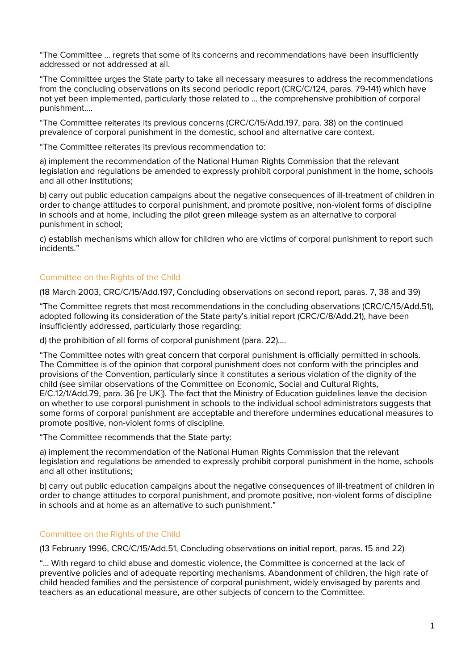"The Committee … regrets that some of its concerns and recommendations have been insufficiently addressed or not addressed at all.

"The Committee urges the State party to take all necessary measures to address the recommendations from the concluding observations on its second periodic report (CRC/C/124, paras. 79-141) which have not yet been implemented, particularly those related to … the comprehensive prohibition of corporal punishment….

"The Committee reiterates its previous concerns (CRC/C/15/Add.197, para. 38) on the continued prevalence of corporal punishment in the domestic, school and alternative care context.

"The Committee reiterates its previous recommendation to:

a) implement the recommendation of the National Human Rights Commission that the relevant legislation and regulations be amended to expressly prohibit corporal punishment in the home, schools and all other institutions;

b) carry out public education campaigns about the negative consequences of ill-treatment of children in order to change attitudes to corporal punishment, and promote positive, non-violent forms of discipline in schools and at home, including the pilot green mileage system as an alternative to corporal punishment in school;

c) establish mechanisms which allow for children who are victims of corporal punishment to report such incidents."

### *Committee on the Rights of the Child*

(18 March 2003, CRC/C/15/Add.197, Concluding observations on second report, paras. 7, 38 and 39)

"The Committee regrets that most recommendations in the concluding observations (CRC/C/15/Add.51), adopted following its consideration of the State party's initial report (CRC/C/8/Add.21), have been insufficiently addressed, particularly those regarding:

d) the prohibition of all forms of corporal punishment (para. 22)….

"The Committee notes with great concern that corporal punishment is officially permitted in schools. The Committee is of the opinion that corporal punishment does not conform with the principles and provisions of the Convention, particularly since it constitutes a serious violation of the dignity of the child (see similar observations of the Committee on Economic, Social and Cultural Rights, E/C.12/1/Add.79, para. 36 [re UK]). The fact that the Ministry of Education guidelines leave the decision on whether to use corporal punishment in schools to the individual school administrators suggests that some forms of corporal punishment are acceptable and therefore undermines educational measures to promote positive, non-violent forms of discipline.

"The Committee recommends that the State party:

a) implement the recommendation of the National Human Rights Commission that the relevant legislation and regulations be amended to expressly prohibit corporal punishment in the home, schools and all other institutions;

b) carry out public education campaigns about the negative consequences of ill-treatment of children in order to change attitudes to corporal punishment, and promote positive, non-violent forms of discipline in schools and at home as an alternative to such punishment."

### *Committee on the Rights of the Child*

(13 February 1996, CRC/C/15/Add.51, Concluding observations on initial report, paras. 15 and 22)

"… With regard to child abuse and domestic violence, the Committee is concerned at the lack of preventive policies and of adequate reporting mechanisms. Abandonment of children, the high rate of child headed families and the persistence of corporal punishment, widely envisaged by parents and teachers as an educational measure, are other subjects of concern to the Committee.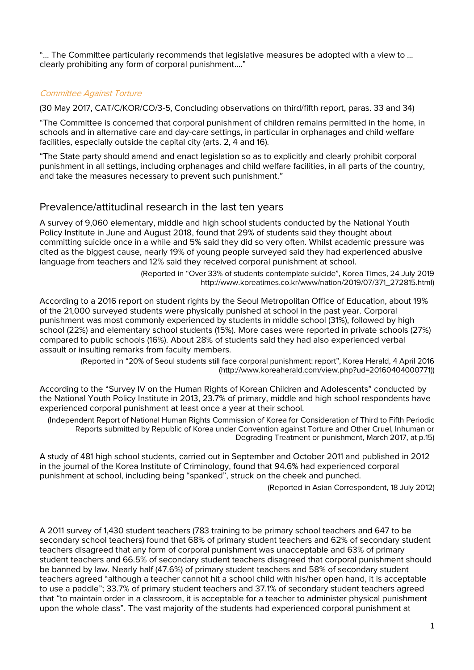"… The Committee particularly recommends that legislative measures be adopted with a view to … clearly prohibiting any form of corporal punishment…."

## **Committee Against Torture**

(30 May 2017, CAT/C/KOR/CO/3-5, Concluding observations on third/fifth report, paras. 33 and 34)

"The Committee is concerned that corporal punishment of children remains permitted in the home, in schools and in alternative care and day-care settings, in particular in orphanages and child welfare facilities, especially outside the capital city (arts. 2, 4 and 16).

"The State party should amend and enact legislation so as to explicitly and clearly prohibit corporal punishment in all settings, including orphanages and child welfare facilities, in all parts of the country, and take the measures necessary to prevent such punishment."

## **Prevalence/attitudinal research in the last ten years**

A survey of 9,060 elementary, middle and high school students conducted by the National Youth Policy Institute in June and August 2018, found that 29% of students said they thought about committing suicide once in a while and 5% said they did so very often. Whilst academic pressure was cited as the biggest cause, nearly 19% of young people surveyed said they had experienced abusive language from teachers and 12% said they received corporal punishment at school.

> (Reported in "Over 33% of students contemplate suicide", Korea Times, 24 July 2019 http://www.koreatimes.co.kr/www/nation/2019/07/371\_272815.html)

According to a 2016 report on student rights by the Seoul Metropolitan Office of Education, about 19% of the 21,000 surveyed students were physically punished at school in the past year. Corporal punishment was most commonly experienced by students in middle school (31%), followed by high school (22%) and elementary school students (15%). More cases were reported in private schools (27%) compared to public schools (16%). About 28% of students said they had also experienced verbal assault or insulting remarks from faculty members.

> (Reported in "20% of Seoul students still face corporal punishment: report", Korea Herald, 4 April 2016 [\(http://www.koreaherald.com/view.php?ud=20160404000771\)](about:blank))

According to the "Survey IV on the Human Rights of Korean Children and Adolescents" conducted by the National Youth Policy Institute in 2013, 23.7% of primary, middle and high school respondents have experienced corporal punishment at least once a year at their school.

(*Independent Report of National Human Rights Commission of Korea for Consideration of Third to Fifth Periodic Reports submitted by Republic of Korea under Convention against Torture and Other Cruel, Inhuman or Degrading Treatment or punishment*, March 2017, at p.15)

A study of 481 high school students, carried out in September and October 2011 and published in 2012 in the journal of the Korea Institute of Criminology, found that 94.6% had experienced corporal punishment at school, including being "spanked", struck on the cheek and punched.

(Reported in *Asian Correspondent*, 18 July 2012)

A 2011 survey of 1,430 student teachers (783 training to be primary school teachers and 647 to be secondary school teachers) found that 68% of primary student teachers and 62% of secondary student teachers disagreed that any form of corporal punishment was unacceptable and 63% of primary student teachers and 66.5% of secondary student teachers disagreed that corporal punishment should be banned by law. Nearly half (47.6%) of primary student teachers and 58% of secondary student teachers agreed "although a teacher cannot hit a school child with his/her open hand, it is acceptable to use a paddle"; 33.7% of primary student teachers and 37.1% of secondary student teachers agreed that "to maintain order in a classroom, it is acceptable for a teacher to administer physical punishment upon the whole class". The vast majority of the students had experienced corporal punishment at